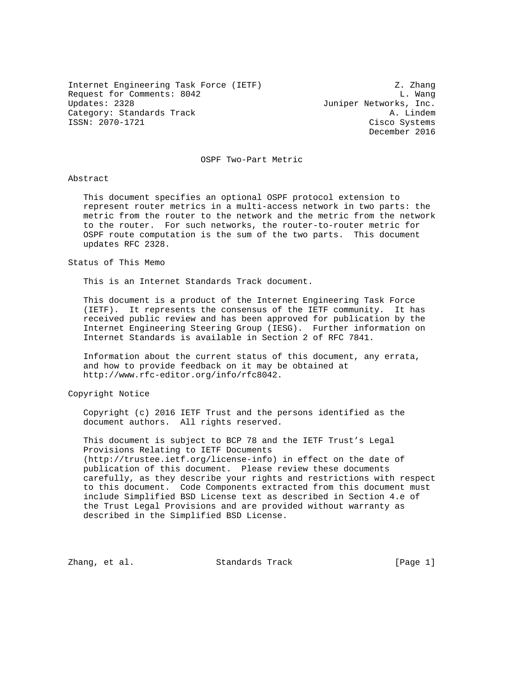Internet Engineering Task Force (IETF)  $Z.$  Zhang Request for Comments: 8042 L. Wang<br>Updates: 2328 Updates: 2328 Category: Standards Track A. Lindem ISSN: 2070-1721 Cisco Systems

Juniper Networks, Inc. December 2016

OSPF Two-Part Metric

## Abstract

 This document specifies an optional OSPF protocol extension to represent router metrics in a multi-access network in two parts: the metric from the router to the network and the metric from the network to the router. For such networks, the router-to-router metric for OSPF route computation is the sum of the two parts. This document updates RFC 2328.

### Status of This Memo

This is an Internet Standards Track document.

 This document is a product of the Internet Engineering Task Force (IETF). It represents the consensus of the IETF community. It has received public review and has been approved for publication by the Internet Engineering Steering Group (IESG). Further information on Internet Standards is available in Section 2 of RFC 7841.

 Information about the current status of this document, any errata, and how to provide feedback on it may be obtained at http://www.rfc-editor.org/info/rfc8042.

Copyright Notice

 Copyright (c) 2016 IETF Trust and the persons identified as the document authors. All rights reserved.

 This document is subject to BCP 78 and the IETF Trust's Legal Provisions Relating to IETF Documents (http://trustee.ietf.org/license-info) in effect on the date of publication of this document. Please review these documents carefully, as they describe your rights and restrictions with respect to this document. Code Components extracted from this document must include Simplified BSD License text as described in Section 4.e of the Trust Legal Provisions and are provided without warranty as described in the Simplified BSD License.

Zhang, et al. Standards Track [Page 1]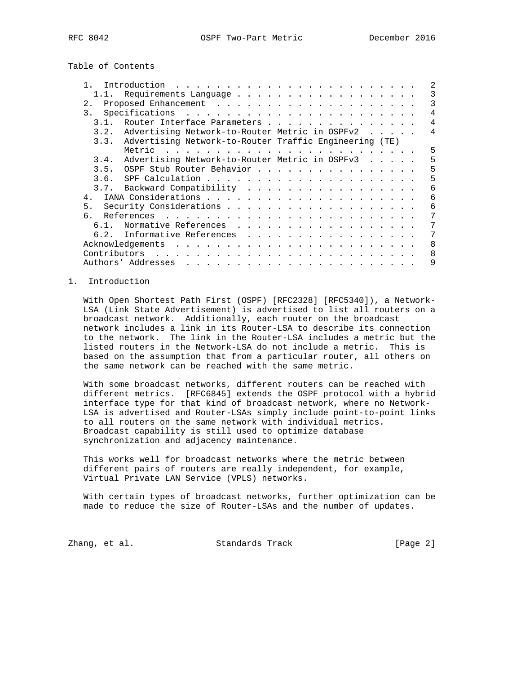Table of Contents

|      | Introduction                                                                                                                                                                                                                                        |                |
|------|-----------------------------------------------------------------------------------------------------------------------------------------------------------------------------------------------------------------------------------------------------|----------------|
|      |                                                                                                                                                                                                                                                     | 3              |
| 2.1  |                                                                                                                                                                                                                                                     | 3              |
| 3.   |                                                                                                                                                                                                                                                     | 4              |
| 3 1  | Router Interface Parameters                                                                                                                                                                                                                         | 4              |
| 3.2. | Advertising Network-to-Router Metric in OSPFv2                                                                                                                                                                                                      | $\overline{4}$ |
|      | 3.3. Advertising Network-to-Router Traffic Engineering (TE)                                                                                                                                                                                         |                |
|      |                                                                                                                                                                                                                                                     | 5              |
| 3.4. | Advertising Network-to-Router Metric in OSPFv3                                                                                                                                                                                                      | 5              |
|      | 3.5. OSPF Stub Router Behavior                                                                                                                                                                                                                      | 5              |
| 3.6. |                                                                                                                                                                                                                                                     | 5              |
|      | 3.7. Backward Compatibility                                                                                                                                                                                                                         | 6              |
| 4.   |                                                                                                                                                                                                                                                     | 6              |
| 5.   |                                                                                                                                                                                                                                                     | 6              |
|      |                                                                                                                                                                                                                                                     | 7              |
| 61   | Normative References                                                                                                                                                                                                                                | 7              |
| 6.2. | Informative References                                                                                                                                                                                                                              | 7              |
|      | Acknowledgements                                                                                                                                                                                                                                    | $\mathsf{B}$   |
|      |                                                                                                                                                                                                                                                     | $\mathsf{R}$   |
|      | Authors' Addresses<br>. The contract of the contract of the contract of the contract of the contract of the contract of the contract of the contract of the contract of the contract of the contract of the contract of the contract of the contrac | 9              |

## 1. Introduction

 With Open Shortest Path First (OSPF) [RFC2328] [RFC5340]), a Network- LSA (Link State Advertisement) is advertised to list all routers on a broadcast network. Additionally, each router on the broadcast network includes a link in its Router-LSA to describe its connection to the network. The link in the Router-LSA includes a metric but the listed routers in the Network-LSA do not include a metric. This is based on the assumption that from a particular router, all others on the same network can be reached with the same metric.

 With some broadcast networks, different routers can be reached with different metrics. [RFC6845] extends the OSPF protocol with a hybrid interface type for that kind of broadcast network, where no Network- LSA is advertised and Router-LSAs simply include point-to-point links to all routers on the same network with individual metrics. Broadcast capability is still used to optimize database synchronization and adjacency maintenance.

 This works well for broadcast networks where the metric between different pairs of routers are really independent, for example, Virtual Private LAN Service (VPLS) networks.

 With certain types of broadcast networks, further optimization can be made to reduce the size of Router-LSAs and the number of updates.

Zhang, et al. Standards Track [Page 2]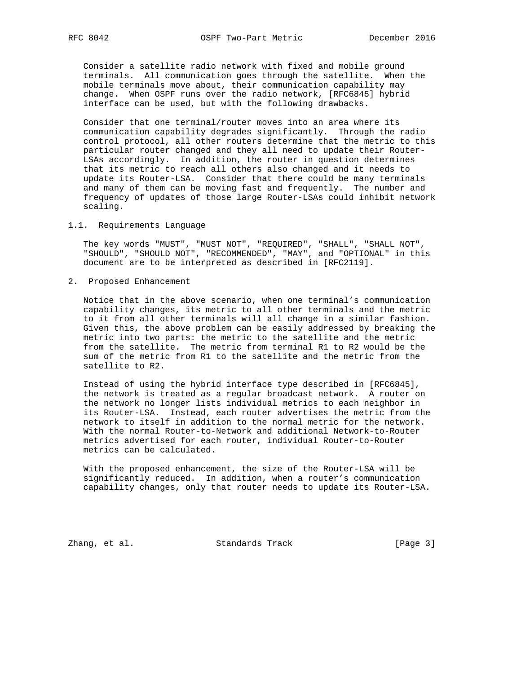Consider a satellite radio network with fixed and mobile ground terminals. All communication goes through the satellite. When the mobile terminals move about, their communication capability may change. When OSPF runs over the radio network, [RFC6845] hybrid interface can be used, but with the following drawbacks.

 Consider that one terminal/router moves into an area where its communication capability degrades significantly. Through the radio control protocol, all other routers determine that the metric to this particular router changed and they all need to update their Router- LSAs accordingly. In addition, the router in question determines that its metric to reach all others also changed and it needs to update its Router-LSA. Consider that there could be many terminals and many of them can be moving fast and frequently. The number and frequency of updates of those large Router-LSAs could inhibit network scaling.

### 1.1. Requirements Language

 The key words "MUST", "MUST NOT", "REQUIRED", "SHALL", "SHALL NOT", "SHOULD", "SHOULD NOT", "RECOMMENDED", "MAY", and "OPTIONAL" in this document are to be interpreted as described in [RFC2119].

2. Proposed Enhancement

 Notice that in the above scenario, when one terminal's communication capability changes, its metric to all other terminals and the metric to it from all other terminals will all change in a similar fashion. Given this, the above problem can be easily addressed by breaking the metric into two parts: the metric to the satellite and the metric from the satellite. The metric from terminal R1 to R2 would be the sum of the metric from R1 to the satellite and the metric from the satellite to R2.

 Instead of using the hybrid interface type described in [RFC6845], the network is treated as a regular broadcast network. A router on the network no longer lists individual metrics to each neighbor in its Router-LSA. Instead, each router advertises the metric from the network to itself in addition to the normal metric for the network. With the normal Router-to-Network and additional Network-to-Router metrics advertised for each router, individual Router-to-Router metrics can be calculated.

 With the proposed enhancement, the size of the Router-LSA will be significantly reduced. In addition, when a router's communication capability changes, only that router needs to update its Router-LSA.

Zhang, et al. Standards Track [Page 3]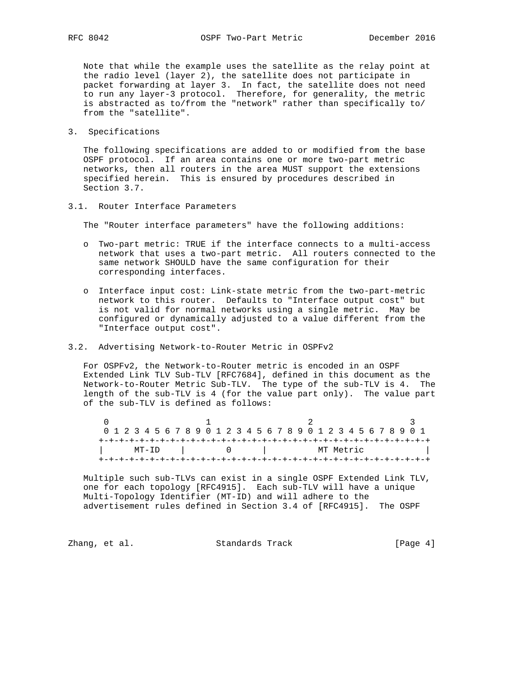Note that while the example uses the satellite as the relay point at the radio level (layer 2), the satellite does not participate in packet forwarding at layer 3. In fact, the satellite does not need to run any layer-3 protocol. Therefore, for generality, the metric is abstracted as to/from the "network" rather than specifically to/ from the "satellite".

3. Specifications

 The following specifications are added to or modified from the base OSPF protocol. If an area contains one or more two-part metric networks, then all routers in the area MUST support the extensions specified herein. This is ensured by procedures described in Section 3.7.

3.1. Router Interface Parameters

The "Router interface parameters" have the following additions:

- o Two-part metric: TRUE if the interface connects to a multi-access network that uses a two-part metric. All routers connected to the same network SHOULD have the same configuration for their corresponding interfaces.
- o Interface input cost: Link-state metric from the two-part-metric network to this router. Defaults to "Interface output cost" but is not valid for normal networks using a single metric. May be configured or dynamically adjusted to a value different from the "Interface output cost".
- 3.2. Advertising Network-to-Router Metric in OSPFv2

 For OSPFv2, the Network-to-Router metric is encoded in an OSPF Extended Link TLV Sub-TLV [RFC7684], defined in this document as the Network-to-Router Metric Sub-TLV. The type of the sub-TLV is 4. The length of the sub-TLV is 4 (for the value part only). The value part of the sub-TLV is defined as follows:

| 0 1 2 3 4 5 6 7 8 9 0 1 2 3 4 5 6 7 8 9 0 1 2 3 4 5 6 7 8 9 0 1 |  |  |  |  |  |  |  |  |  |  |  |  |           |  |  |  |  |  |  |  |  |  |  |  |  |  |  |  |  |
|-----------------------------------------------------------------|--|--|--|--|--|--|--|--|--|--|--|--|-----------|--|--|--|--|--|--|--|--|--|--|--|--|--|--|--|--|
|                                                                 |  |  |  |  |  |  |  |  |  |  |  |  |           |  |  |  |  |  |  |  |  |  |  |  |  |  |  |  |  |
| MT-ID                                                           |  |  |  |  |  |  |  |  |  |  |  |  | MT Metric |  |  |  |  |  |  |  |  |  |  |  |  |  |  |  |  |
|                                                                 |  |  |  |  |  |  |  |  |  |  |  |  |           |  |  |  |  |  |  |  |  |  |  |  |  |  |  |  |  |

 Multiple such sub-TLVs can exist in a single OSPF Extended Link TLV, one for each topology [RFC4915]. Each sub-TLV will have a unique Multi-Topology Identifier (MT-ID) and will adhere to the advertisement rules defined in Section 3.4 of [RFC4915]. The OSPF

Zhang, et al. Standards Track [Page 4]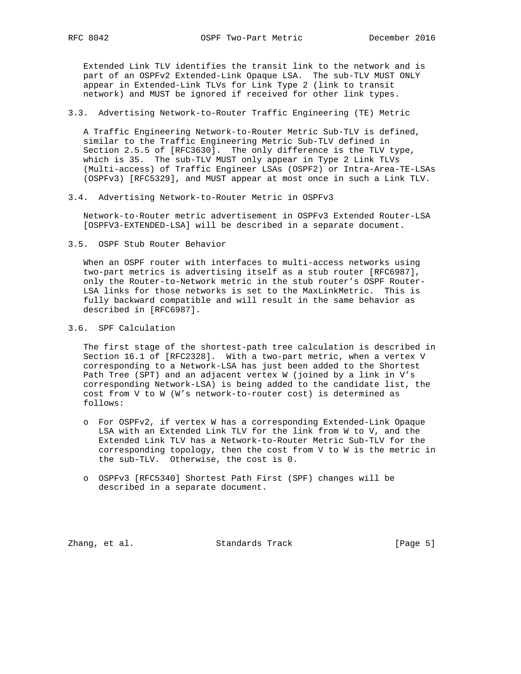Extended Link TLV identifies the transit link to the network and is part of an OSPFv2 Extended-Link Opaque LSA. The sub-TLV MUST ONLY appear in Extended-Link TLVs for Link Type 2 (link to transit network) and MUST be ignored if received for other link types.

## 3.3. Advertising Network-to-Router Traffic Engineering (TE) Metric

 A Traffic Engineering Network-to-Router Metric Sub-TLV is defined, similar to the Traffic Engineering Metric Sub-TLV defined in Section 2.5.5 of [RFC3630]. The only difference is the TLV type, which is 35. The sub-TLV MUST only appear in Type 2 Link TLVs (Multi-access) of Traffic Engineer LSAs (OSPF2) or Intra-Area-TE-LSAs (OSPFv3) [RFC5329], and MUST appear at most once in such a Link TLV.

3.4. Advertising Network-to-Router Metric in OSPFv3

 Network-to-Router metric advertisement in OSPFv3 Extended Router-LSA [OSPFV3-EXTENDED-LSA] will be described in a separate document.

3.5. OSPF Stub Router Behavior

 When an OSPF router with interfaces to multi-access networks using two-part metrics is advertising itself as a stub router [RFC6987], only the Router-to-Network metric in the stub router's OSPF Router- LSA links for those networks is set to the MaxLinkMetric. This is fully backward compatible and will result in the same behavior as described in [RFC6987].

3.6. SPF Calculation

 The first stage of the shortest-path tree calculation is described in Section 16.1 of [RFC2328]. With a two-part metric, when a vertex V corresponding to a Network-LSA has just been added to the Shortest Path Tree (SPT) and an adjacent vertex W (joined by a link in V's corresponding Network-LSA) is being added to the candidate list, the cost from V to W (W's network-to-router cost) is determined as follows:

- o For OSPFv2, if vertex W has a corresponding Extended-Link Opaque LSA with an Extended Link TLV for the link from W to V, and the Extended Link TLV has a Network-to-Router Metric Sub-TLV for the corresponding topology, then the cost from V to W is the metric in the sub-TLV. Otherwise, the cost is 0.
- o OSPFv3 [RFC5340] Shortest Path First (SPF) changes will be described in a separate document.

Zhang, et al. Standards Track [Page 5]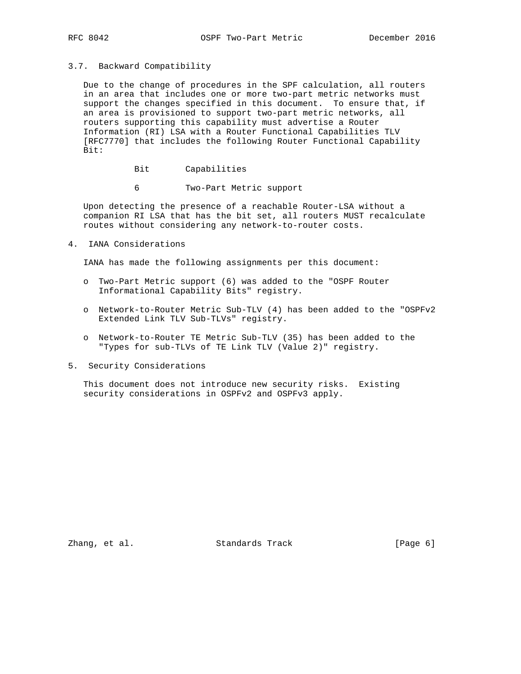### 3.7. Backward Compatibility

 Due to the change of procedures in the SPF calculation, all routers in an area that includes one or more two-part metric networks must support the changes specified in this document. To ensure that, if an area is provisioned to support two-part metric networks, all routers supporting this capability must advertise a Router Information (RI) LSA with a Router Functional Capabilities TLV [RFC7770] that includes the following Router Functional Capability Bit:

- Bit Capabilities
- 6 Two-Part Metric support

 Upon detecting the presence of a reachable Router-LSA without a companion RI LSA that has the bit set, all routers MUST recalculate routes without considering any network-to-router costs.

4. IANA Considerations

IANA has made the following assignments per this document:

- o Two-Part Metric support (6) was added to the "OSPF Router Informational Capability Bits" registry.
- o Network-to-Router Metric Sub-TLV (4) has been added to the "OSPFv2 Extended Link TLV Sub-TLVs" registry.
- o Network-to-Router TE Metric Sub-TLV (35) has been added to the "Types for sub-TLVs of TE Link TLV (Value 2)" registry.
- 5. Security Considerations

 This document does not introduce new security risks. Existing security considerations in OSPFv2 and OSPFv3 apply.

Zhang, et al. Standards Track [Page 6]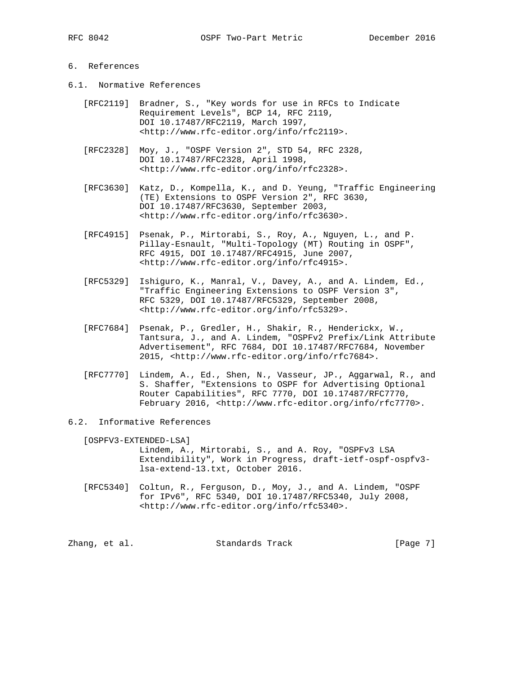# 6. References

- 6.1. Normative References
	- [RFC2119] Bradner, S., "Key words for use in RFCs to Indicate Requirement Levels", BCP 14, RFC 2119, DOI 10.17487/RFC2119, March 1997, <http://www.rfc-editor.org/info/rfc2119>.
	- [RFC2328] Moy, J., "OSPF Version 2", STD 54, RFC 2328, DOI 10.17487/RFC2328, April 1998, <http://www.rfc-editor.org/info/rfc2328>.
	- [RFC3630] Katz, D., Kompella, K., and D. Yeung, "Traffic Engineering (TE) Extensions to OSPF Version 2", RFC 3630, DOI 10.17487/RFC3630, September 2003, <http://www.rfc-editor.org/info/rfc3630>.
	- [RFC4915] Psenak, P., Mirtorabi, S., Roy, A., Nguyen, L., and P. Pillay-Esnault, "Multi-Topology (MT) Routing in OSPF", RFC 4915, DOI 10.17487/RFC4915, June 2007, <http://www.rfc-editor.org/info/rfc4915>.
	- [RFC5329] Ishiguro, K., Manral, V., Davey, A., and A. Lindem, Ed., "Traffic Engineering Extensions to OSPF Version 3", RFC 5329, DOI 10.17487/RFC5329, September 2008, <http://www.rfc-editor.org/info/rfc5329>.
	- [RFC7684] Psenak, P., Gredler, H., Shakir, R., Henderickx, W., Tantsura, J., and A. Lindem, "OSPFv2 Prefix/Link Attribute Advertisement", RFC 7684, DOI 10.17487/RFC7684, November 2015, <http://www.rfc-editor.org/info/rfc7684>.
	- [RFC7770] Lindem, A., Ed., Shen, N., Vasseur, JP., Aggarwal, R., and S. Shaffer, "Extensions to OSPF for Advertising Optional Router Capabilities", RFC 7770, DOI 10.17487/RFC7770, February 2016, <http://www.rfc-editor.org/info/rfc7770>.
- 6.2. Informative References

 [OSPFV3-EXTENDED-LSA] Lindem, A., Mirtorabi, S., and A. Roy, "OSPFv3 LSA Extendibility", Work in Progress, draft-ietf-ospf-ospfv3 lsa-extend-13.txt, October 2016.

 [RFC5340] Coltun, R., Ferguson, D., Moy, J., and A. Lindem, "OSPF for IPv6", RFC 5340, DOI 10.17487/RFC5340, July 2008, <http://www.rfc-editor.org/info/rfc5340>.

Zhang, et al. Standards Track [Page 7]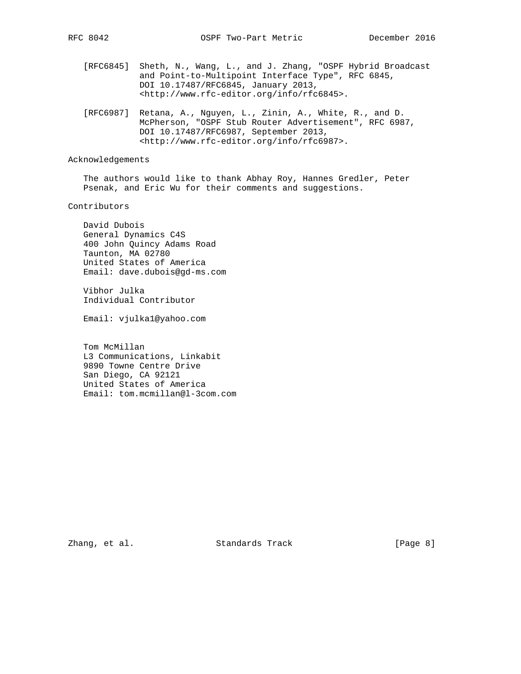- [RFC6845] Sheth, N., Wang, L., and J. Zhang, "OSPF Hybrid Broadcast and Point-to-Multipoint Interface Type", RFC 6845, DOI 10.17487/RFC6845, January 2013, <http://www.rfc-editor.org/info/rfc6845>.
- [RFC6987] Retana, A., Nguyen, L., Zinin, A., White, R., and D. McPherson, "OSPF Stub Router Advertisement", RFC 6987, DOI 10.17487/RFC6987, September 2013, <http://www.rfc-editor.org/info/rfc6987>.

## Acknowledgements

 The authors would like to thank Abhay Roy, Hannes Gredler, Peter Psenak, and Eric Wu for their comments and suggestions.

## Contributors

 David Dubois General Dynamics C4S 400 John Quincy Adams Road Taunton, MA 02780 United States of America Email: dave.dubois@gd-ms.com

 Vibhor Julka Individual Contributor

Email: vjulka1@yahoo.com

 Tom McMillan L3 Communications, Linkabit 9890 Towne Centre Drive San Diego, CA 92121 United States of America Email: tom.mcmillan@l-3com.com

Zhang, et al. Standards Track [Page 8]